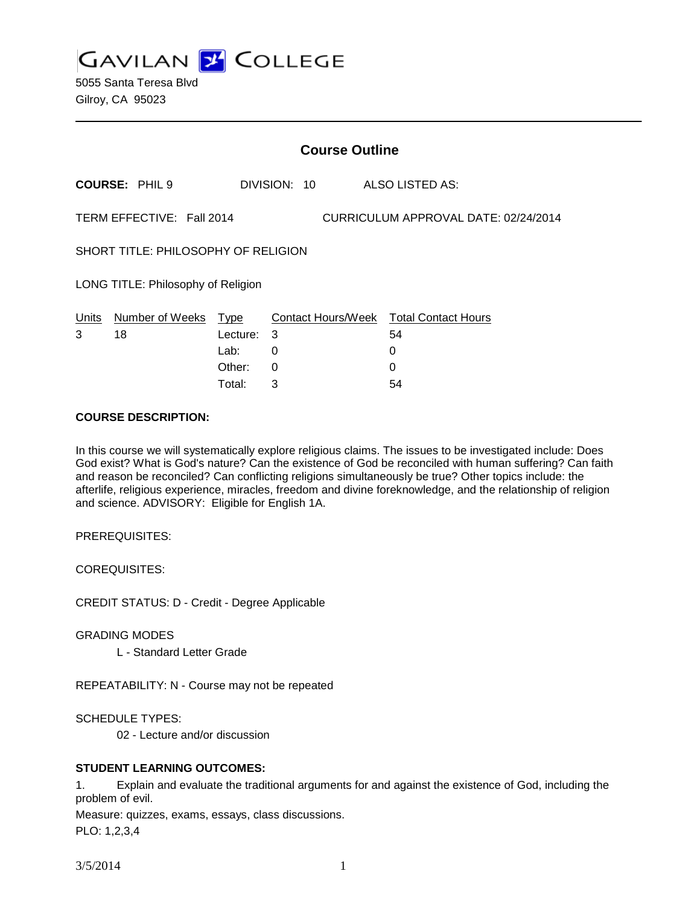**GAVILAN J COLLEGE** 

|                                                                   | <b>Course Outline</b> |          |              |                                        |  |
|-------------------------------------------------------------------|-----------------------|----------|--------------|----------------------------------------|--|
|                                                                   | <b>COURSE: PHIL 9</b> |          | DIVISION: 10 | ALSO LISTED AS:                        |  |
| TERM EFFECTIVE: Fall 2014<br>CURRICULUM APPROVAL DATE: 02/24/2014 |                       |          |              |                                        |  |
| SHORT TITLE: PHILOSOPHY OF RELIGION                               |                       |          |              |                                        |  |
| LONG TITLE: Philosophy of Religion                                |                       |          |              |                                        |  |
| Units                                                             | Number of Weeks       | Type     |              | Contact Hours/Week Total Contact Hours |  |
| 3                                                                 | 18                    | Lecture: | 3            | 54                                     |  |
|                                                                   |                       | Lab:     | 0            | 0                                      |  |
|                                                                   |                       | Other:   | 0            | 0                                      |  |
|                                                                   |                       | Total:   | 3            | 54                                     |  |

#### **COURSE DESCRIPTION:**

In this course we will systematically explore religious claims. The issues to be investigated include: Does God exist? What is God's nature? Can the existence of God be reconciled with human suffering? Can faith and reason be reconciled? Can conflicting religions simultaneously be true? Other topics include: the afterlife, religious experience, miracles, freedom and divine foreknowledge, and the relationship of religion and science. ADVISORY: Eligible for English 1A.

PREREQUISITES:

COREQUISITES:

CREDIT STATUS: D - Credit - Degree Applicable

GRADING MODES

L - Standard Letter Grade

REPEATABILITY: N - Course may not be repeated

SCHEDULE TYPES:

02 - Lecture and/or discussion

### **STUDENT LEARNING OUTCOMES:**

1. Explain and evaluate the traditional arguments for and against the existence of God, including the problem of evil.

Measure: quizzes, exams, essays, class discussions.

PLO: 1,2,3,4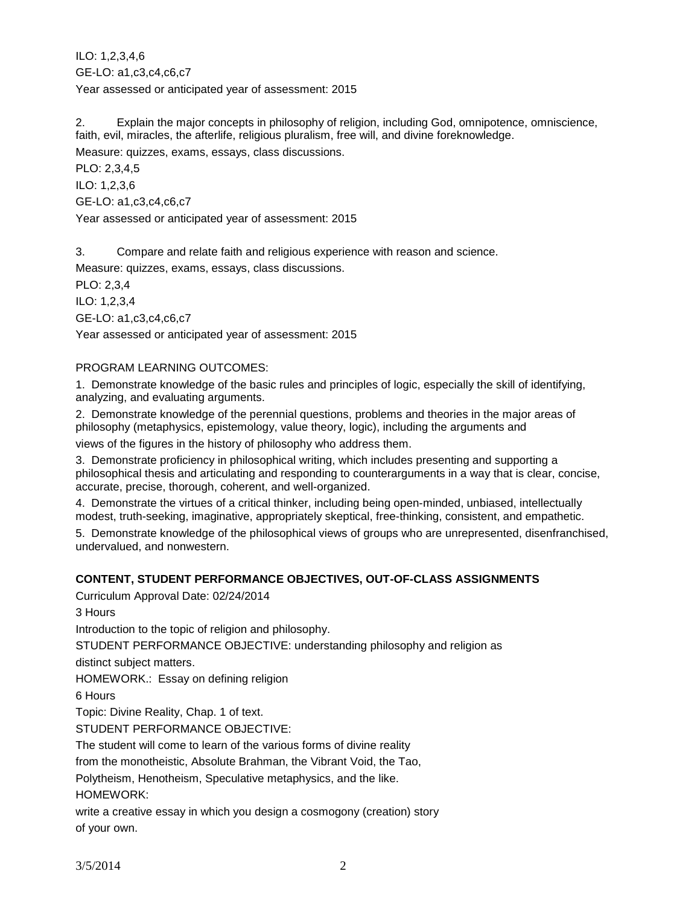ILO: 1,2,3,4,6 GE-LO: a1,c3,c4,c6,c7 Year assessed or anticipated year of assessment: 2015

2. Explain the major concepts in philosophy of religion, including God, omnipotence, omniscience, faith, evil, miracles, the afterlife, religious pluralism, free will, and divine foreknowledge. Measure: quizzes, exams, essays, class discussions.

PLO: 2,3,4,5 ILO: 1,2,3,6 GE-LO: a1,c3,c4,c6,c7 Year assessed or anticipated year of assessment: 2015

3. Compare and relate faith and religious experience with reason and science.

Measure: quizzes, exams, essays, class discussions.

PLO: 2,3,4

ILO: 1,2,3,4

GE-LO: a1,c3,c4,c6,c7

Year assessed or anticipated year of assessment: 2015

## PROGRAM LEARNING OUTCOMES:

1. Demonstrate knowledge of the basic rules and principles of logic, especially the skill of identifying, analyzing, and evaluating arguments.

2. Demonstrate knowledge of the perennial questions, problems and theories in the major areas of philosophy (metaphysics, epistemology, value theory, logic), including the arguments and views of the figures in the history of philosophy who address them.

3. Demonstrate proficiency in philosophical writing, which includes presenting and supporting a philosophical thesis and articulating and responding to counterarguments in a way that is clear, concise, accurate, precise, thorough, coherent, and well-organized.

4. Demonstrate the virtues of a critical thinker, including being open-minded, unbiased, intellectually modest, truth-seeking, imaginative, appropriately skeptical, free-thinking, consistent, and empathetic.

5. Demonstrate knowledge of the philosophical views of groups who are unrepresented, disenfranchised, undervalued, and nonwestern.

# **CONTENT, STUDENT PERFORMANCE OBJECTIVES, OUT-OF-CLASS ASSIGNMENTS**

Curriculum Approval Date: 02/24/2014

3 Hours

Introduction to the topic of religion and philosophy.

STUDENT PERFORMANCE OBJECTIVE: understanding philosophy and religion as

distinct subject matters.

HOMEWORK.: Essay on defining religion

6 Hours

Topic: Divine Reality, Chap. 1 of text.

STUDENT PERFORMANCE OBJECTIVE:

The student will come to learn of the various forms of divine reality

from the monotheistic, Absolute Brahman, the Vibrant Void, the Tao,

Polytheism, Henotheism, Speculative metaphysics, and the like.

HOMEWORK:

write a creative essay in which you design a cosmogony (creation) story of your own.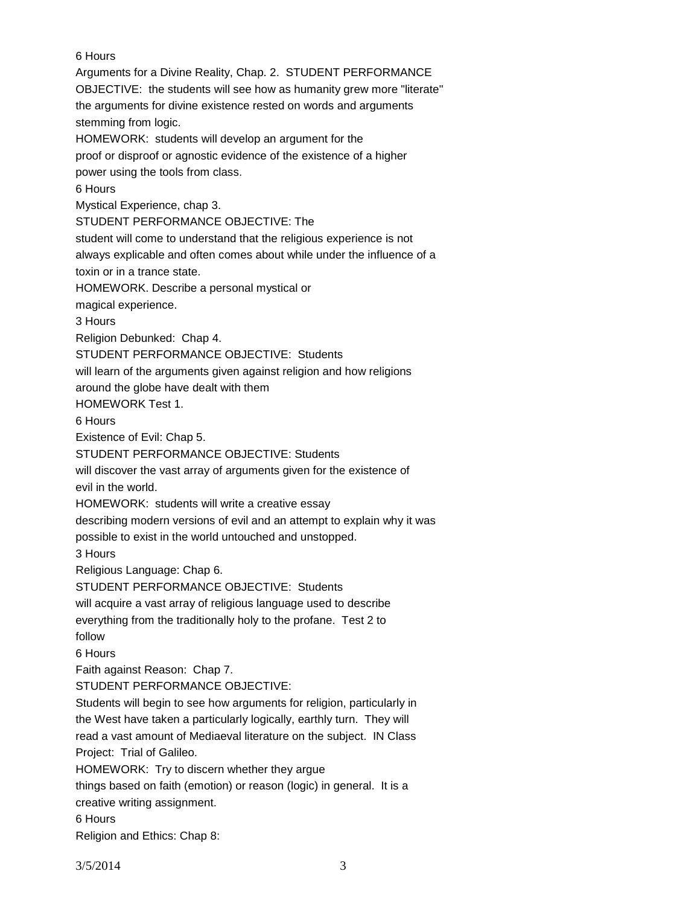6 Hours Arguments for a Divine Reality, Chap. 2. STUDENT PERFORMANCE OBJECTIVE: the students will see how as humanity grew more "literate" the arguments for divine existence rested on words and arguments stemming from logic. HOMEWORK: students will develop an argument for the proof or disproof or agnostic evidence of the existence of a higher power using the tools from class. 6 Hours Mystical Experience, chap 3. STUDENT PERFORMANCE OBJECTIVE: The student will come to understand that the religious experience is not always explicable and often comes about while under the influence of a toxin or in a trance state. HOMEWORK. Describe a personal mystical or magical experience. 3 Hours Religion Debunked: Chap 4. STUDENT PERFORMANCE OBJECTIVE: Students will learn of the arguments given against religion and how religions around the globe have dealt with them HOMEWORK Test 1. 6 Hours Existence of Evil: Chap 5. STUDENT PERFORMANCE OBJECTIVE: Students will discover the vast array of arguments given for the existence of evil in the world. HOMEWORK: students will write a creative essay describing modern versions of evil and an attempt to explain why it was possible to exist in the world untouched and unstopped. 3 Hours Religious Language: Chap 6. STUDENT PERFORMANCE OBJECTIVE: Students will acquire a vast array of religious language used to describe everything from the traditionally holy to the profane. Test 2 to follow 6 Hours Faith against Reason: Chap 7. STUDENT PERFORMANCE OBJECTIVE: Students will begin to see how arguments for religion, particularly in the West have taken a particularly logically, earthly turn. They will read a vast amount of Mediaeval literature on the subject. IN Class Project: Trial of Galileo. HOMEWORK: Try to discern whether they argue things based on faith (emotion) or reason (logic) in general. It is a creative writing assignment. 6 Hours Religion and Ethics: Chap 8:

3/5/2014 3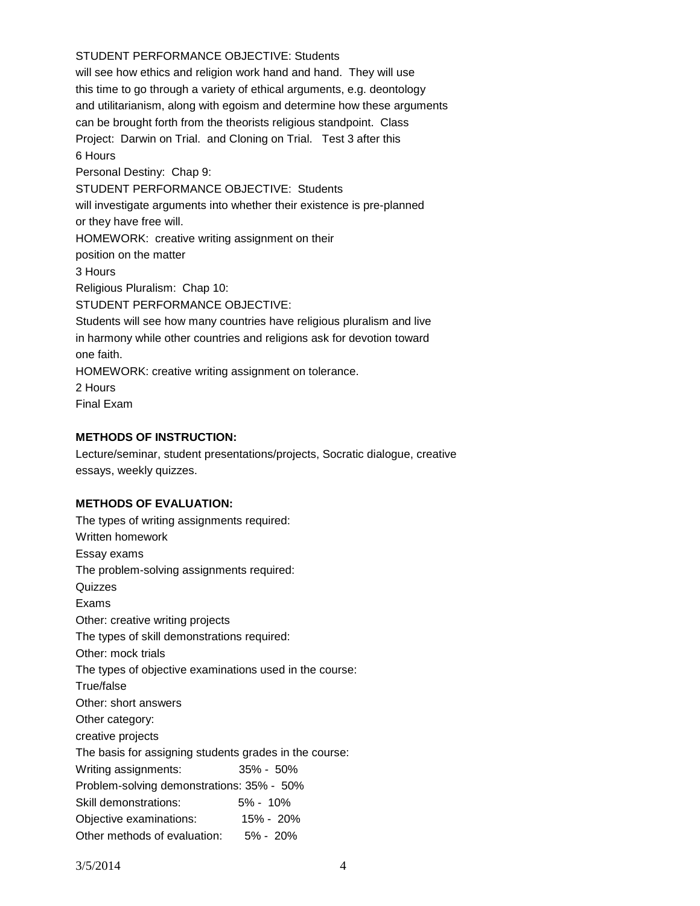## STUDENT PERFORMANCE OBJECTIVE: Students

will see how ethics and religion work hand and hand. They will use this time to go through a variety of ethical arguments, e.g. deontology and utilitarianism, along with egoism and determine how these arguments can be brought forth from the theorists religious standpoint. Class Project: Darwin on Trial. and Cloning on Trial. Test 3 after this 6 Hours Personal Destiny: Chap 9: STUDENT PERFORMANCE OBJECTIVE: Students will investigate arguments into whether their existence is pre-planned or they have free will. HOMEWORK: creative writing assignment on their position on the matter 3 Hours Religious Pluralism: Chap 10: STUDENT PERFORMANCE OBJECTIVE: Students will see how many countries have religious pluralism and live in harmony while other countries and religions ask for devotion toward one faith. HOMEWORK: creative writing assignment on tolerance. 2 Hours

Final Exam

#### **METHODS OF INSTRUCTION:**

Lecture/seminar, student presentations/projects, Socratic dialogue, creative essays, weekly quizzes.

### **METHODS OF EVALUATION:**

| The types of writing assignments required:              |               |  |  |  |  |
|---------------------------------------------------------|---------------|--|--|--|--|
| Written homework                                        |               |  |  |  |  |
| Essay exams                                             |               |  |  |  |  |
| The problem-solving assignments required:               |               |  |  |  |  |
| Quizzes                                                 |               |  |  |  |  |
| Exams                                                   |               |  |  |  |  |
| Other: creative writing projects                        |               |  |  |  |  |
| The types of skill demonstrations required:             |               |  |  |  |  |
| Other: mock trials                                      |               |  |  |  |  |
| The types of objective examinations used in the course: |               |  |  |  |  |
| True/false                                              |               |  |  |  |  |
| Other: short answers                                    |               |  |  |  |  |
| Other category:                                         |               |  |  |  |  |
| creative projects                                       |               |  |  |  |  |
| The basis for assigning students grades in the course:  |               |  |  |  |  |
| Writing assignments:                                    | $35\% - 50\%$ |  |  |  |  |
| Problem-solving demonstrations: 35% - 50%               |               |  |  |  |  |
| Skill demonstrations:                                   | $5\% - 10\%$  |  |  |  |  |
| Objective examinations: 15% - 20%                       |               |  |  |  |  |
| Other methods of evaluation: 5% - 20%                   |               |  |  |  |  |